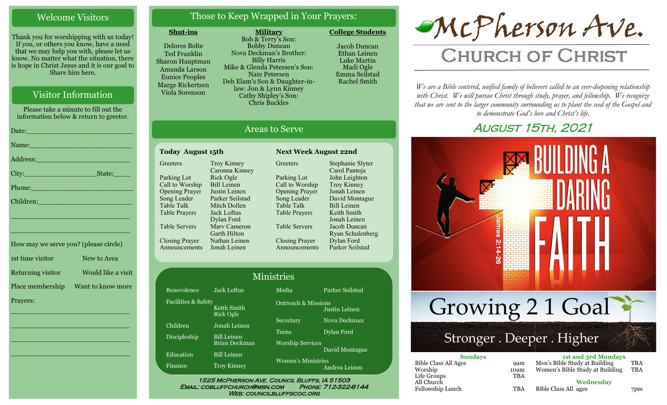# Welcome Visitors

Thank you for worshipping with us today! If you, or others you know, have a need that we may help you with, please let us know. No matter what the situation, there is hope in Christ Jesus and it is our goal to Share him here.

# Visitor Information

Please take a minute to fill out the information below & return to greeter. Date:\_\_\_\_\_\_\_\_\_\_\_\_\_\_\_\_\_\_\_\_\_\_\_\_\_ Name: Address:\_\_\_\_\_\_\_\_\_\_\_\_\_\_\_\_\_\_\_\_\_\_ City: State: Phone: Children: \_\_\_\_\_\_\_\_\_\_\_\_\_\_\_\_\_\_\_\_\_\_\_\_\_\_\_\_ \_\_\_\_\_\_\_\_\_\_\_\_\_\_\_\_\_\_\_\_\_\_\_\_\_\_\_\_ How may we serve you? (please circle)

1st time visitor New to Area Returning visitor Would like a visit Place membership Want to know more Prayers:

\_\_\_\_\_\_\_\_\_\_\_\_\_\_\_\_\_\_\_\_\_\_\_\_\_\_\_\_

\_\_\_\_\_\_\_\_\_\_\_\_\_\_\_\_\_\_\_\_\_\_\_\_\_\_\_\_

\_\_\_\_\_\_\_\_\_\_\_\_\_\_\_\_\_\_\_\_\_\_\_\_\_\_\_\_

\_\_\_\_\_\_\_\_\_\_\_\_\_\_\_\_\_\_\_\_\_\_\_\_\_\_\_\_

# Those to Keep Wrapped in Your Prayers:

**Military**

#### **Shut-ins**

Delores Bolte Ted Franklin Sharon Hauptman Amanda Larson Eunice Peoples Marge Rickertsen Viola Sorenson

Bob & Terry's Son: Bobby Duncan Nova Deckman's Brother: Billy Harris Mike & Glenda Petersen's Son: Nate Petersen Deb Elam's Son & Daughter-inlaw: Jon & Lynn Kinney Cathy Shipley's Son: Chris Buckles

Jacob Duncan Ethan Leinen Luke Martin Madi Ogle Emma Seilstad Rachel Smith

**College Students** 

# Areas to Serve

**Greeters** 

Parking Lot

#### **Today August 15th Next Week August 22nd Greeters** Parking Lot Call to Worship Opening Prayer Song Leader Table Talk Table Prayers Table Servers Closing Prayer Announcements Jonah Leinen Troy Kinney Caronna Kinney Rick Ogle Bill Leinen Justin Leinen Parker Seilstad Mitch Dollen Jack Loftus Dylan Ford Marv Cameron Garth Hilton Nathan Leinen

Call to Worship Opening Prayer Song Leader Table Talk Table Prayers Table Servers Closing Prayer

Announcements Stephanie Slyter Carol Pantoja John Leighton Troy Kinney Jonah Leinen David Montague Bill Leinen Keith Smith Jonah Leinen Jacob Duncan Ryan Schulenberg Dylan Ford Parker Seilstad

|                                                        |                                            | <b>Ministries</b>                                            |                 |
|--------------------------------------------------------|--------------------------------------------|--------------------------------------------------------------|-----------------|
| Benevolence                                            | Jack Loftus                                | Media                                                        | Parker Seilstad |
| Facilities & Safety<br>Keith Smith<br><b>Rick Ogle</b> |                                            | <b>Outreach &amp; Missions</b><br>Justin Leinen              |                 |
| Children                                               | Jonah Leinen                               | Secretary                                                    | Nova Deckman    |
| Discipleship                                           | <b>Bill Leinen</b><br><b>Brian Deckman</b> | Teens<br><b>Worship Services</b>                             | Dylan Ford      |
| Education                                              | <b>Bill Leinen</b>                         | David Montague<br><b>Women's Ministries</b><br>Andrea Leinen |                 |
| Finance                                                | <b>Troy Kinney</b>                         |                                                              |                 |

WEB: COUNCILBLUFFSCOC.ORG

# McPherson Ave.

# **CHURCH OF CHRIST**

*We are a Bible centered, unified family of believers called to an ever-deepening relationship*  with Christ. We will pursue Christ through study, prayer, and fellowship. We recognize *that we are sent to the larger community surrounding us to plant the seed of the Gospel and to demonstrate God's love and Christ's life.*

# August 15th, 2021